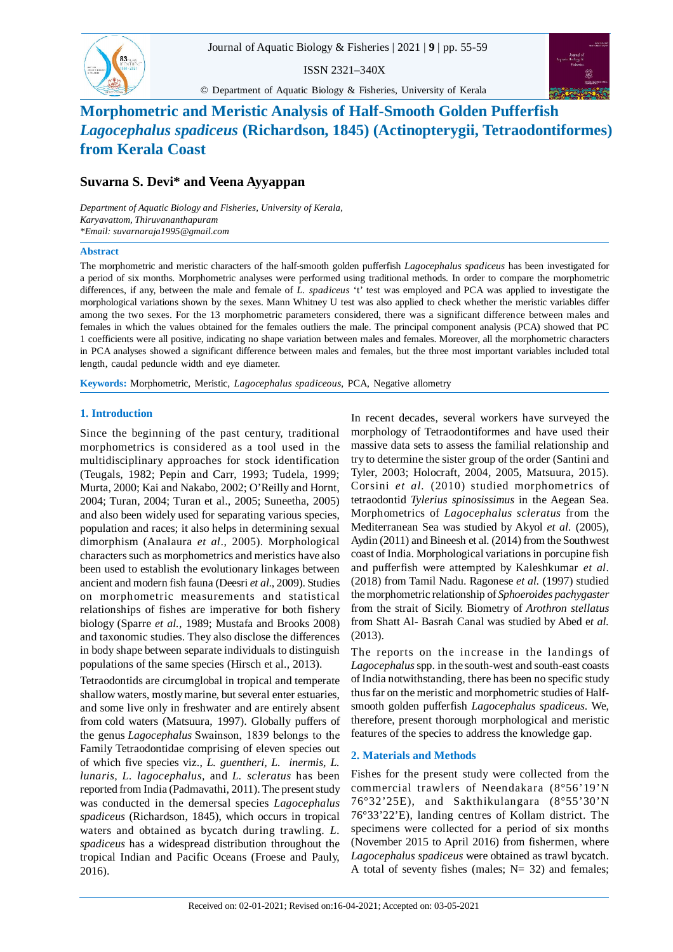

ISSN 2321–340X

© Department of Aquatic Biology & Fisheries, University of Kerala



# **Morphometric and Meristic Analysis of Half-Smooth Golden Pufferfish** *Lagocephalus spadiceus* **(Richardson, 1845) (Actinopterygii, Tetraodontiformes) from Kerala Coast**

# **Suvarna S. Devi\* and Veena Ayyappan**

*Department of Aquatic Biology and Fisheries, University of Kerala, Karyavattom, Thiruvananthapuram \*Email: suvarnaraja1995@gmail.com*

#### **Abstract**

The morphometric and meristic characters of the half-smooth golden pufferfish *Lagocephalus spadiceus* has been investigated for a period of six months*.* Morphometric analyses were performed using traditional methods. In order to compare the morphometric differences, if any, between the male and female of *L. spadiceus* 't' test was employed and PCA was applied to investigate the morphological variations shown by the sexes. Mann Whitney U test was also applied to check whether the meristic variables differ among the two sexes. For the 13 morphometric parameters considered, there was a significant difference between males and females in which the values obtained for the females outliers the male. The principal component analysis (PCA) showed that PC 1 coefficients were all positive, indicating no shape variation between males and females. Moreover, all the morphometric characters in PCA analyses showed a significant difference between males and females, but the three most important variables included total length, caudal peduncle width and eye diameter.

**Keywords:** Morphometric, Meristic, *Lagocephalus spadiceous*, PCA, Negative allometry

### **1. Introduction**

Since the beginning of the past century, traditional morphometrics is considered as a tool used in the multidisciplinary approaches for stock identification (Teugals, 1982; Pepin and Carr, 1993; Tudela, 1999; Murta, 2000; Kai and Nakabo, 2002; O'Reilly and Hornt, 2004; Turan, 2004; Turan et al., 2005; Suneetha, 2005) and also been widely used for separating various species, population and races; it also helps in determining sexual dimorphism (Analaura *et al*., 2005). Morphological characters such as morphometrics and meristics have also been used to establish the evolutionary linkages between ancient and modern fish fauna (Deesri *et al*., 2009). Studies on morphometric measurements and statistical relationships of fishes are imperative for both fishery biology (Sparre *et al.,* 1989; Mustafa and Brooks 2008) and taxonomic studies. They also disclose the differences in body shape between separate individuals to distinguish populations of the same species (Hirsch et al., 2013).

Tetraodontids are circumglobal in tropical and temperate shallow waters, mostly marine, but several enter estuaries, and some live only in freshwater and are entirely absent from cold waters (Matsuura, 1997). Globally puffers of the genus *Lagocephalus* Swainson, 1839 belongs to the Family Tetraodontidae comprising of eleven species out of which five species viz., *L. guentheri, L. inermis, L. lunaris, L. lagocephalus,* and *L. scleratus* has been reported from India (Padmavathi, 2011). The present study was conducted in the demersal species *Lagocephalus spadiceus* (Richardson, 1845), which occurs in tropical waters and obtained as bycatch during trawling. *L. spadiceus* has a widespread distribution throughout the tropical Indian and Pacific Oceans (Froese and Pauly, 2016).

In recent decades, several workers have surveyed the morphology of Tetraodontiformes and have used their massive data sets to assess the familial relationship and try to determine the sister group of the order (Santini and Tyler, 2003; Holocraft, 2004, 2005, Matsuura, 2015). Corsini *et al.* (2010) studied morphometrics of tetraodontid *Tylerius spinosissimus* in the Aegean Sea. Morphometrics of *Lagocephalus scleratus* from the Mediterranean Sea was studied by Akyol *et al.* (2005), Aydin (2011) and Bineesh et al*.* (2014) from the Southwest coast of India. Morphological variations in porcupine fish and pufferfish were attempted by Kaleshkumar *et al*. (2018) from Tamil Nadu. Ragonese *et al.* (1997) studied the morphometric relationship of *Sphoeroides pachygaster* from the strait of Sicily. Biometry of *Arothron stellatus* from Shatt Al- Basrah Canal was studied by Abed e*t al.* (2013).

The reports on the increase in the landings of *Lagocephalus* spp. in the south-west and south-east coasts of India notwithstanding, there has been no specific study thus far on the meristic and morphometric studies of Halfsmooth golden pufferfish *Lagocephalus spadiceus*. We, therefore, present thorough morphological and meristic features of the species to address the knowledge gap.

## **2. Materials and Methods**

Fishes for the present study were collected from the commercial trawlers of Neendakara (8°56'19'N 76°32'25E), and Sakthikulangara (8°55'30'N 76°33'22'E), landing centres of Kollam district. The specimens were collected for a period of six months (November 2015 to April 2016) from fishermen, where *Lagocephalus spadiceus* were obtained as trawl bycatch. A total of seventy fishes (males;  $N=$  32) and females;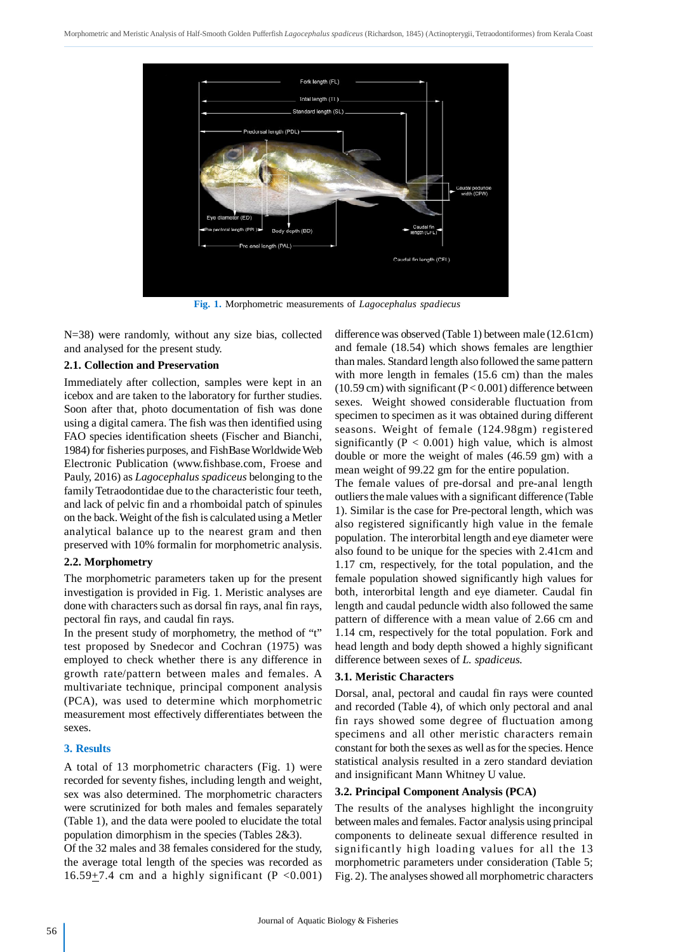

**Fig. 1.** Morphometric measurements of *Lagocephalus spadiecus*

N=38) were randomly, without any size bias, collected and analysed for the present study.

#### **2.1. Collection and Preservation**

Immediately after collection, samples were kept in an icebox and are taken to the laboratory for further studies. Soon after that, photo documentation of fish was done using a digital camera. The fish was then identified using FAO species identification sheets (Fischer and Bianchi, 1984) for fisheries purposes, and FishBase Worldwide Web Electronic Publication (www.fishbase.com, Froese and Pauly, 2016) as *Lagocephalus spadiceus* belonging to the family Tetraodontidae due to the characteristic four teeth, and lack of pelvic fin and a rhomboidal patch of spinules on the back. Weight of the fish is calculated using a Metler analytical balance up to the nearest gram and then preserved with 10% formalin for morphometric analysis.

#### **2.2. Morphometry**

The morphometric parameters taken up for the present investigation is provided in Fig. 1. Meristic analyses are done with characters such as dorsal fin rays, anal fin rays, pectoral fin rays, and caudal fin rays.

In the present study of morphometry, the method of "t" test proposed by Snedecor and Cochran (1975) was employed to check whether there is any difference in growth rate/pattern between males and females. A multivariate technique, principal component analysis (PCA), was used to determine which morphometric measurement most effectively differentiates between the sexes.

#### **3. Results**

A total of 13 morphometric characters (Fig. 1) were recorded for seventy fishes, including length and weight, sex was also determined. The morphometric characters were scrutinized for both males and females separately (Table 1), and the data were pooled to elucidate the total population dimorphism in the species (Tables 2&3).

Of the 32 males and 38 females considered for the study, the average total length of the species was recorded as  $16.59 + 7.4$  cm and a highly significant (P < 0.001) difference was observed (Table 1) between male (12.61cm) and female (18.54) which shows females are lengthier than males. Standard length also followed the same pattern with more length in females (15.6 cm) than the males  $(10.59 \text{ cm})$  with significant  $(P<0.001)$  difference between sexes. Weight showed considerable fluctuation from specimen to specimen as it was obtained during different seasons. Weight of female (124.98gm) registered significantly ( $P < 0.001$ ) high value, which is almost double or more the weight of males (46.59 gm) with a mean weight of 99.22 gm for the entire population.

The female values of pre-dorsal and pre-anal length outliers the male values with a significant difference (Table 1). Similar is the case for Pre-pectoral length, which was also registered significantly high value in the female population. The interorbital length and eye diameter were also found to be unique for the species with 2.41cm and 1.17 cm, respectively, for the total population, and the female population showed significantly high values for both, interorbital length and eye diameter. Caudal fin length and caudal peduncle width also followed the same pattern of difference with a mean value of 2.66 cm and 1.14 cm, respectively for the total population. Fork and head length and body depth showed a highly significant difference between sexes of *L. spadiceus.*

#### **3.1. Meristic Characters**

Dorsal, anal, pectoral and caudal fin rays were counted and recorded (Table 4), of which only pectoral and anal fin rays showed some degree of fluctuation among specimens and all other meristic characters remain constant for both the sexes as well as for the species. Hence statistical analysis resulted in a zero standard deviation and insignificant Mann Whitney U value.

#### **3.2. Principal Component Analysis (PCA)**

The results of the analyses highlight the incongruity between males and females. Factor analysis using principal components to delineate sexual difference resulted in significantly high loading values for all the 13 morphometric parameters under consideration (Table 5; Fig. 2). The analyses showed all morphometric characters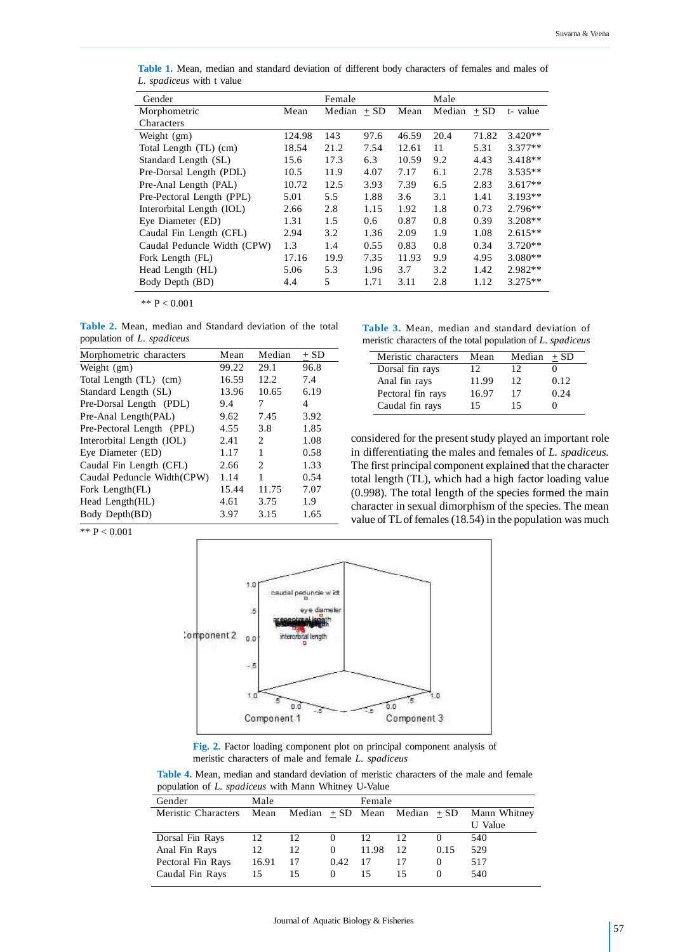| Gender                      |        | Female |        |       | Male   |        |           |
|-----------------------------|--------|--------|--------|-------|--------|--------|-----------|
| Morphometric                | Mean   | Median | $+ SD$ | Mean  | Median | $+$ SD | t-value   |
| Characters                  |        |        |        |       |        |        |           |
| Weight (gm)                 | 124.98 | 143    | 97.6   | 46.59 | 20.4   | 71.82  | $3.420**$ |
| Total Length (TL) (cm)      | 18.54  | 21.2   | 7.54   | 12.61 | 11     | 5.31   | $3.377**$ |
| Standard Length (SL)        | 15.6   | 17.3   | 6.3    | 10.59 | 9.2    | 4.43   | $3.418**$ |
| Pre-Dorsal Length (PDL)     | 10.5   | 11.9   | 4.07   | 7.17  | 6.1    | 2.78   | $3.535**$ |
| Pre-Anal Length (PAL)       | 10.72  | 12.5   | 3.93   | 7.39  | 6.5    | 2.83   | $3.617**$ |
| Pre-Pectoral Length (PPL)   | 5.01   | 5.5    | 1.88   | 3.6   | 3.1    | 1.41   | $3.193**$ |
| Interorbital Length (IOL)   | 2.66   | 2.8    | 1.15   | 1.92  | 1.8    | 0.73   | $2.796**$ |
| Eye Diameter (ED)           | 1.31   | 1.5    | 0.6    | 0.87  | 0.8    | 0.39   | $3.208**$ |
| Caudal Fin Length (CFL)     | 2.94   | 3.2    | 1.36   | 2.09  | 1.9    | 1.08   | $2.615**$ |
| Caudal Peduncle Width (CPW) | 1.3    | 1.4    | 0.55   | 0.83  | 0.8    | 0.34   | $3.720**$ |
| Fork Length (FL)            | 17.16  | 19.9   | 7.35   | 11.93 | 9.9    | 4.95   | $3.080**$ |
| Head Length (HL)            | 5.06   | 5.3    | 1.96   | 3.7   | 3.2    | 1.42   | $2.982**$ |
| Body Depth (BD)             | 4.4    | 5      | 1.71   | 3.11  | 2.8    | 1.12   | $3.275**$ |

**Table 1.** Mean, median and standard deviation of different body characters of females and males of *L. spadiceus* with t value

\*\*  $P < 0.001$ 

**Table 2.** Mean, median and Standard deviation of the total population of *L. spadiceus*

| Morphometric characters    | Mean  | Median         | $+$ SD |
|----------------------------|-------|----------------|--------|
| Weight (gm)                | 99.22 | 29.1           | 96.8   |
| Total Length (TL) (cm)     | 16.59 | 12.2           | 7.4    |
| Standard Length (SL)       | 13.96 | 10.65          | 6.19   |
| Pre-Dorsal Length (PDL)    | 9.4   | 7              | 4      |
| Pre-Anal Length(PAL)       | 9.62  | 7.45           | 3.92   |
| Pre-Pectoral Length (PPL)  | 4.55  | 3.8            | 1.85   |
| Interorbital Length (IOL)  | 2.41  | $\mathfrak{D}$ | 1.08   |
| Eye Diameter (ED)          | 1.17  | 1              | 0.58   |
| Caudal Fin Length (CFL)    | 2.66  | 2              | 1.33   |
| Caudal Peduncle Width(CPW) | 1.14  | 1              | 0.54   |
| Fork Length(FL)            | 15.44 | 11.75          | 7.07   |
| Head Length(HL)            | 4.61  | 3.75           | 1.9    |
| Body Depth(BD)             | 3.97  | 3.15           | 1.65   |

|  |  | Table 3. Mean, median and standard deviation of             |  |
|--|--|-------------------------------------------------------------|--|
|  |  | meristic characters of the total population of L. spadiceus |  |

| Meristic characters | Mean  | Median | $+$ SD |
|---------------------|-------|--------|--------|
| Dorsal fin rays     | 12    | 12     |        |
| Anal fin rays       | 11.99 | 12     | 0.12   |
| Pectoral fin rays   | 16.97 | 17     | 0.24   |
| Caudal fin rays     | 15    | 15     |        |

considered for the present study played an important role in differentiating the males and females of *L. spadiceus.* The first principal component explained that the character total length (TL), which had a high factor loading value (0.998). The total length of the species formed the main character in sexual dimorphism of the species. The mean value of TL of females (18.54) in the population was much

\*\*  $P < 0.001$ 



**Fig. 2.** Factor loading component plot on principal component analysis of meristic characters of male and female *L. spadiceus*

**Table 4.** Mean, median and standard deviation of meristic characters of the male and female population of *L. spadiceus* with Mann Whitney U-Value

| Gender              | Male  |                                       |          | Female |    |          |              |
|---------------------|-------|---------------------------------------|----------|--------|----|----------|--------------|
| Meristic Characters |       | Mean Median $+$ SD Mean Median $+$ SD |          |        |    |          | Mann Whitney |
|                     |       |                                       |          |        |    |          | U Value      |
| Dorsal Fin Rays     | 12    | 12                                    | $\theta$ | 12     |    |          | 540          |
| Anal Fin Rays       | 12    | 12                                    | $\theta$ | 11.98  | 12 | 0.15     | 529          |
| Pectoral Fin Rays   | 16.91 | 17                                    | 0.42     | 17     |    | $\theta$ | 517          |
| Caudal Fin Rays     | 15    | 15                                    | $\Omega$ | 15     |    | $\theta$ | 540          |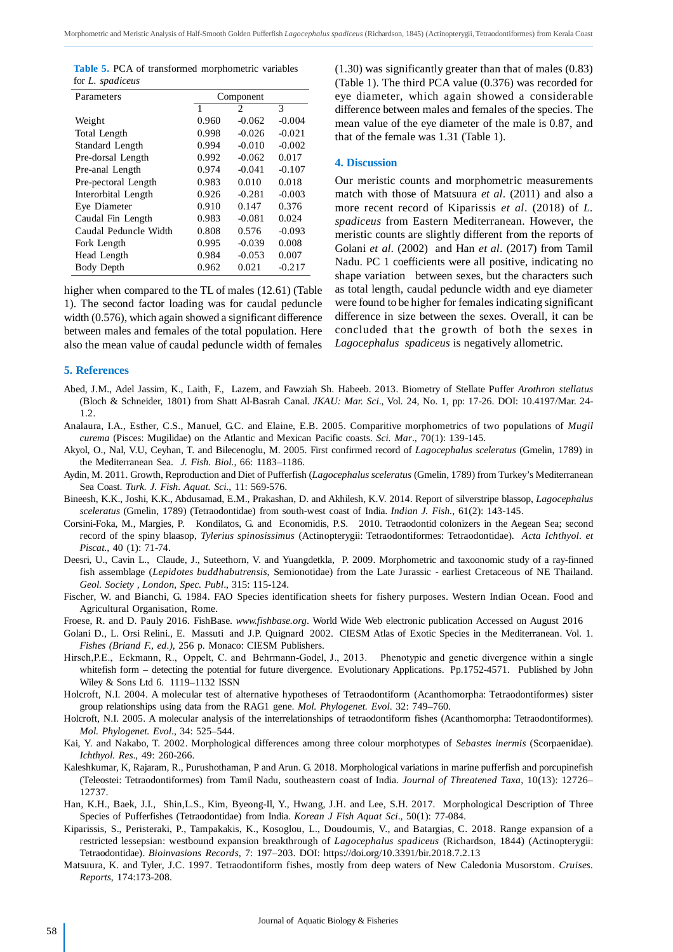**Table 5.** PCA of transformed morphometric variables for *L. spadiceus*

| Parameters            | Component |                |          |  |  |
|-----------------------|-----------|----------------|----------|--|--|
|                       | 1         | $\mathfrak{D}$ | 3        |  |  |
| Weight                | 0.960     | $-0.062$       | $-0.004$ |  |  |
| Total Length          | 0.998     | $-0.026$       | $-0.021$ |  |  |
| Standard Length       | 0.994     | $-0.010$       | $-0.002$ |  |  |
| Pre-dorsal Length     | 0.992     | $-0.062$       | 0.017    |  |  |
| Pre-anal Length       | 0.974     | $-0.041$       | $-0.107$ |  |  |
| Pre-pectoral Length   | 0.983     | 0.010          | 0.018    |  |  |
| Interorbital Length   | 0.926     | $-0.281$       | $-0.003$ |  |  |
| Eye Diameter          | 0.910     | 0.147          | 0.376    |  |  |
| Caudal Fin Length     | 0.983     | $-0.081$       | 0.024    |  |  |
| Caudal Peduncle Width | 0.808     | 0.576          | $-0.093$ |  |  |
| Fork Length           | 0.995     | $-0.039$       | 0.008    |  |  |
| Head Length           | 0.984     | $-0.053$       | 0.007    |  |  |
| <b>Body Depth</b>     | 0.962     | 0.021          | $-0.217$ |  |  |

higher when compared to the TL of males (12.61) (Table 1). The second factor loading was for caudal peduncle width (0.576), which again showed a significant difference between males and females of the total population. Here also the mean value of caudal peduncle width of females (1.30) was significantly greater than that of males (0.83) (Table 1). The third PCA value (0.376) was recorded for eye diameter, which again showed a considerable difference between males and females of the species. The mean value of the eye diameter of the male is 0.87, and that of the female was 1.31 (Table 1).

#### **4. Discussion**

Our meristic counts and morphometric measurements match with those of Matsuura *et al*. (2011) and also a more recent record of Kiparissis *et al*. (2018) of *L. spadiceus* from Eastern Mediterranean. However, the meristic counts are slightly different from the reports of Golani *et al*. (2002) and Han *et al*. (2017) from Tamil Nadu. PC 1 coefficients were all positive, indicating no shape variation between sexes, but the characters such as total length, caudal peduncle width and eye diameter were found to be higher for females indicating significant difference in size between the sexes. Overall, it can be concluded that the growth of both the sexes in *Lagocephalus spadiceus* is negatively allometric.

#### **5. References**

- Abed, J.M., Adel Jassim, K., Laith, F., Lazem, and Fawziah Sh. Habeeb. 2013. Biometry of Stellate Puffer *Arothron stellatus* (Bloch & Schneider, 1801) from Shatt Al-Basrah Canal. *JKAU: Mar. Sci*., Vol. 24, No. 1, pp: 17-26. DOI: 10.4197/Mar. 24- 1.2.
- Analaura, I.A., Esther, C.S., Manuel, G.C. and Elaine, E.B. 2005. Comparitive morphometrics of two populations of *Mugil curema* (Pisces: Mugilidae) on the Atlantic and Mexican Pacific coasts. *Sci. Mar*., 70(1): 139-145.
- Akyol, O., Nal, V.U, Ceyhan, T. and Bilecenoglu, M. 2005. First confirmed record of *Lagocephalus sceleratus* (Gmelin, 1789) in the Mediterranean Sea. *J. Fish. Biol.,* 66: 1183–1186.
- Aydin, M. 2011. Growth, Reproduction and Diet of Pufferfish (*Lagocephalus sceleratus* (Gmelin, 1789) from Turkey's Mediterranean Sea Coast. *Turk. J. Fish. Aquat. Sci.,* 11: 569-576.
- Bineesh, K.K., Joshi, K.K., Abdusamad, E.M., Prakashan, D. and Akhilesh, K.V. 2014. Report of silverstripe blassop, *Lagocephalus sceleratus* (Gmelin, 1789) (Tetraodontidae) from south-west coast of India. *Indian J. Fish.,* 61(2): 143-145.
- Corsini-Foka, M., Margies, P. Kondilatos, G. and Economidis, P.S. 2010. Tetraodontid colonizers in the Aegean Sea; second record of the spiny blaasop, *Tylerius spinosissimus* (Actinopterygii: Tetraodontiformes: Tetraodontidae). *Acta Ichthyol. et Piscat.,* 40 (1): 71-74.
- Deesri, U., Cavin L., Claude, J., Suteethorn, V. and Yuangdetkla, P. 2009. Morphometric and taxoonomic study of a ray-finned fish assemblage (*Lepidotes buddhabutrensis,* Semionotidae) from the Late Jurassic - earliest Cretaceous of NE Thailand. *Geol. Society , London, Spec. Publ*., 315: 115-124.
- Fischer, W. and Bianchi, G. 1984. FAO Species identification sheets for fishery purposes. Western Indian Ocean. Food and Agricultural Organisation, Rome.
- Froese, R. and D. Pauly 2016. FishBase. *www.fishbase.org*. World Wide Web electronic publication Accessed on August 2016
- Golani D., L. Orsi Relini., E. Massuti and J.P. Quignard 2002. CIESM Atlas of Exotic Species in the Mediterranean. Vol. 1. *Fishes (Briand F., ed.),* 256 p. Monaco: CIESM Publishers.
- Hirsch,P.E., Eckmann, R., Oppelt, C. and Behrmann-Godel, J., 2013. Phenotypic and genetic divergence within a single whitefish form – detecting the potential for future divergence. Evolutionary Applications. Pp.1752-4571. Published by John Wiley & Sons Ltd 6. 1119–1132 ISSN
- Holcroft, N.I. 2004. A molecular test of alternative hypotheses of Tetraodontiform (Acanthomorpha: Tetraodontiformes) sister group relationships using data from the RAG1 gene. *Mol. Phylogenet. Evol*. 32: 749–760.
- Holcroft, N.I. 2005. A molecular analysis of the interrelationships of tetraodontiform fishes (Acanthomorpha: Tetraodontiformes). *Mol. Phylogenet. Evol*., 34: 525–544.
- Kai, Y. and Nakabo, T. 2002. Morphological differences among three colour morphotypes of *Sebastes inermis* (Scorpaenidae). *Ichthyol. Res*., 49: 260-266.
- Kaleshkumar, K, Rajaram, R., Purushothaman, P and Arun. G. 2018. Morphological variations in marine pufferfish and porcupinefish (Teleostei: Tetraodontiformes) from Tamil Nadu, southeastern coast of India. *Journal of Threatened Taxa*, 10(13): 12726– 12737.
- Han, K.H., Baek, J.I., Shin,L.S., Kim, Byeong-Il, Y., Hwang, J.H. and Lee, S.H. 2017. Morphological Description of Three Species of Pufferfishes (Tetraodontidae) from India. *Korean J Fish Aquat Sci*., 50(1): 77-084.
- Kiparissis, S., Peristeraki, P., Tampakakis, K., Kosoglou, L., Doudoumis, V., and Batargias, C. 2018. Range expansion of a restricted lessepsian: westbound expansion breakthrough of *Lagocephalus spadiceus* (Richardson, 1844) (Actinopterygii: Tetraodontidae). *Bioinvasions Records,* 7: 197–203. DOI: https://doi.org/10.3391/bir.2018.7.2.13
- Matsuura, K. and Tyler, J.C. 1997. Tetraodontiform fishes, mostly from deep waters of New Caledonia Musorstom. *Cruises. Reports*, 174:173-208.